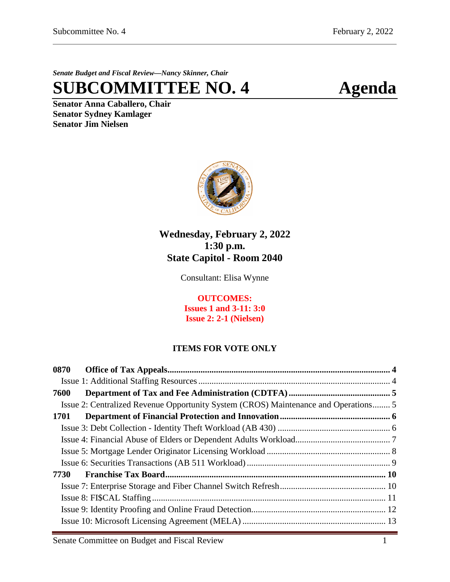*Senate Budget and Fiscal Review—Nancy Skinner, Chair*

**SUBCOMMITTEE NO. 4 Agenda**

**Senator Anna Caballero, Chair Senator Sydney Kamlager Senator Jim Nielsen**



# **Wednesday, February 2, 2022 1:30 p.m. State Capitol - Room 2040**

Consultant: Elisa Wynne

**OUTCOMES: Issues 1 and 3-11: 3:0 Issue 2: 2-1 (Nielsen)**

# **ITEMS FOR VOTE ONLY**

| 0870 |  |
|------|--|
|      |  |
| 7600 |  |
|      |  |
| 1701 |  |
|      |  |
|      |  |
|      |  |
|      |  |
| 7730 |  |
|      |  |
|      |  |
|      |  |
|      |  |
|      |  |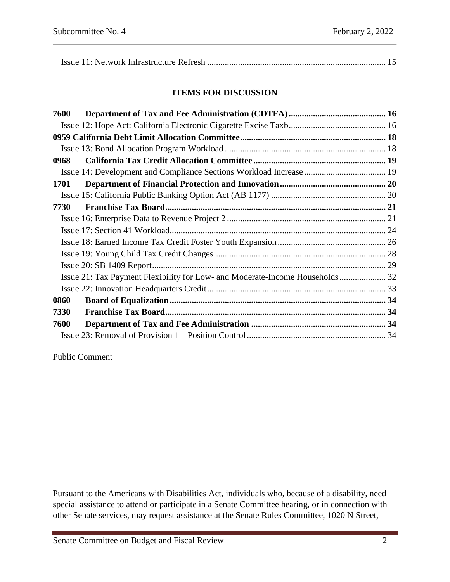|--|

## **ITEMS FOR DISCUSSION**

| 7600 |                                                                               |  |
|------|-------------------------------------------------------------------------------|--|
|      |                                                                               |  |
|      |                                                                               |  |
|      |                                                                               |  |
| 0968 |                                                                               |  |
|      |                                                                               |  |
| 1701 |                                                                               |  |
|      |                                                                               |  |
| 7730 |                                                                               |  |
|      |                                                                               |  |
|      |                                                                               |  |
|      |                                                                               |  |
|      |                                                                               |  |
|      |                                                                               |  |
|      | Issue 21: Tax Payment Flexibility for Low- and Moderate-Income Households  32 |  |
|      |                                                                               |  |
| 0860 |                                                                               |  |
| 7330 |                                                                               |  |
| 7600 |                                                                               |  |
|      |                                                                               |  |
|      |                                                                               |  |

Public Comment

Pursuant to the Americans with Disabilities Act, individuals who, because of a disability, need special assistance to attend or participate in a Senate Committee hearing, or in connection with other Senate services, may request assistance at the Senate Rules Committee, 1020 N Street,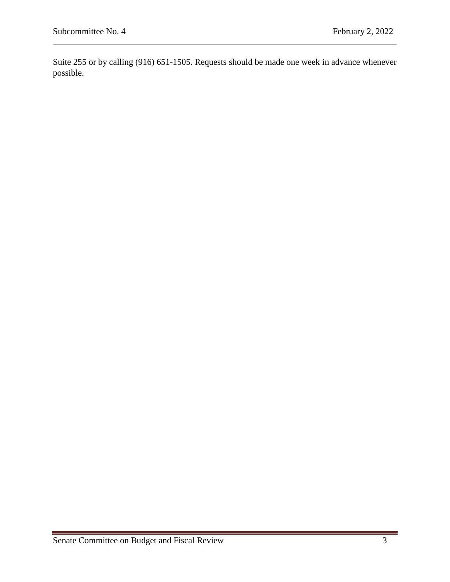Suite 255 or by calling (916) 651-1505. Requests should be made one week in advance whenever possible.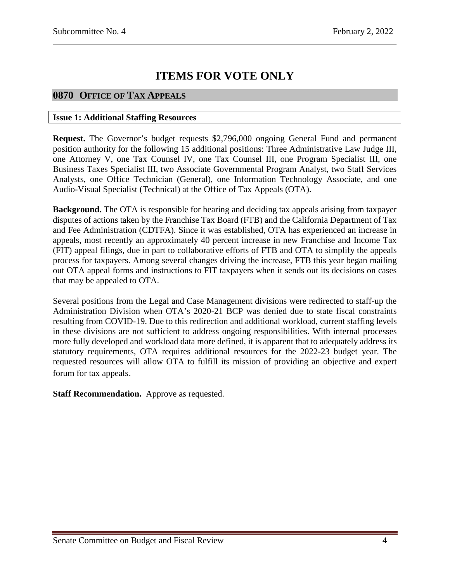# **ITEMS FOR VOTE ONLY**

# <span id="page-3-0"></span>**0870 OFFICE OF TAX APPEALS**

#### <span id="page-3-1"></span>**Issue 1: Additional Staffing Resources**

**Request.** The Governor's budget requests \$2,796,000 ongoing General Fund and permanent position authority for the following 15 additional positions: Three Administrative Law Judge III, one Attorney V, one Tax Counsel IV, one Tax Counsel III, one Program Specialist III, one Business Taxes Specialist III, two Associate Governmental Program Analyst, two Staff Services Analysts, one Office Technician (General), one Information Technology Associate, and one Audio-Visual Specialist (Technical) at the Office of Tax Appeals (OTA).

**Background.** The OTA is responsible for hearing and deciding tax appeals arising from taxpayer disputes of actions taken by the Franchise Tax Board (FTB) and the California Department of Tax and Fee Administration (CDTFA). Since it was established, OTA has experienced an increase in appeals, most recently an approximately 40 percent increase in new Franchise and Income Tax (FIT) appeal filings, due in part to collaborative efforts of FTB and OTA to simplify the appeals process for taxpayers. Among several changes driving the increase, FTB this year began mailing out OTA appeal forms and instructions to FIT taxpayers when it sends out its decisions on cases that may be appealed to OTA.

Several positions from the Legal and Case Management divisions were redirected to staff-up the Administration Division when OTA's 2020-21 BCP was denied due to state fiscal constraints resulting from COVID-19. Due to this redirection and additional workload, current staffing levels in these divisions are not sufficient to address ongoing responsibilities. With internal processes more fully developed and workload data more defined, it is apparent that to adequately address its statutory requirements, OTA requires additional resources for the 2022-23 budget year. The requested resources will allow OTA to fulfill its mission of providing an objective and expert forum for tax appeals.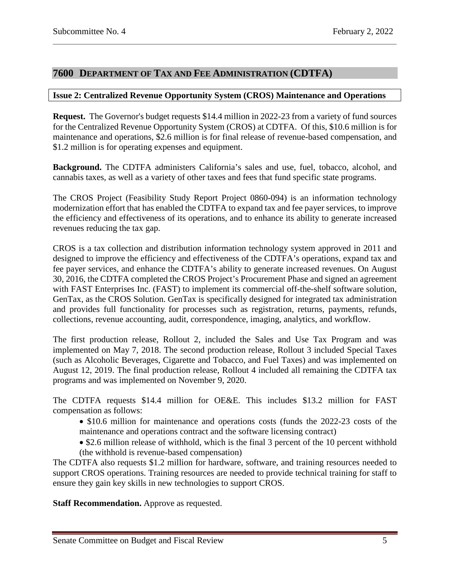# <span id="page-4-0"></span>**7600 DEPARTMENT OF TAX AND FEE ADMINISTRATION (CDTFA)**

#### <span id="page-4-1"></span>**Issue 2: Centralized Revenue Opportunity System (CROS) Maintenance and Operations**

**Request.** The Governor's budget requests \$14.4 million in 2022-23 from a variety of fund sources for the Centralized Revenue Opportunity System (CROS) at CDTFA. Of this, \$10.6 million is for maintenance and operations, \$2.6 million is for final release of revenue-based compensation, and \$1.2 million is for operating expenses and equipment.

**Background.** The CDTFA administers California's sales and use, fuel, tobacco, alcohol, and cannabis taxes, as well as a variety of other taxes and fees that fund specific state programs.

The CROS Project (Feasibility Study Report Project 0860-094) is an information technology modernization effort that has enabled the CDTFA to expand tax and fee payer services, to improve the efficiency and effectiveness of its operations, and to enhance its ability to generate increased revenues reducing the tax gap.

CROS is a tax collection and distribution information technology system approved in 2011 and designed to improve the efficiency and effectiveness of the CDTFA's operations, expand tax and fee payer services, and enhance the CDTFA's ability to generate increased revenues. On August 30, 2016, the CDTFA completed the CROS Project's Procurement Phase and signed an agreement with FAST Enterprises Inc. (FAST) to implement its commercial off-the-shelf software solution, GenTax, as the CROS Solution. GenTax is specifically designed for integrated tax administration and provides full functionality for processes such as registration, returns, payments, refunds, collections, revenue accounting, audit, correspondence, imaging, analytics, and workflow.

The first production release, Rollout 2, included the Sales and Use Tax Program and was implemented on May 7, 2018. The second production release, Rollout 3 included Special Taxes (such as Alcoholic Beverages, Cigarette and Tobacco, and Fuel Taxes) and was implemented on August 12, 2019. The final production release, Rollout 4 included all remaining the CDTFA tax programs and was implemented on November 9, 2020.

The CDTFA requests \$14.4 million for OE&E. This includes \$13.2 million for FAST compensation as follows:

- \$10.6 million for maintenance and operations costs (funds the 2022-23 costs of the maintenance and operations contract and the software licensing contract)
- \$2.6 million release of withhold, which is the final 3 percent of the 10 percent withhold (the withhold is revenue-based compensation)

The CDTFA also requests \$1.2 million for hardware, software, and training resources needed to support CROS operations. Training resources are needed to provide technical training for staff to ensure they gain key skills in new technologies to support CROS.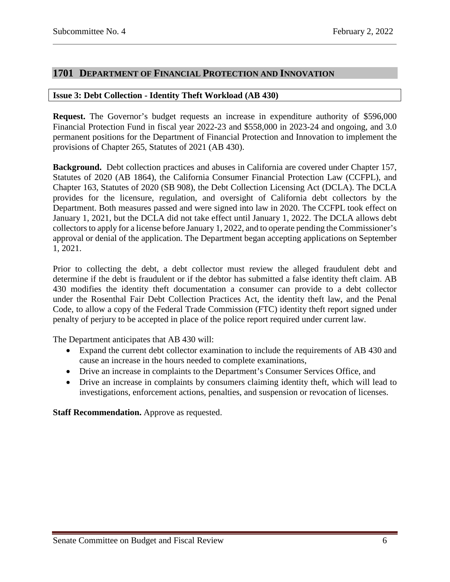# <span id="page-5-0"></span>**1701 DEPARTMENT OF FINANCIAL PROTECTION AND INNOVATION**

#### <span id="page-5-1"></span>**Issue 3: Debt Collection - Identity Theft Workload (AB 430)**

**Request.** The Governor's budget requests an increase in expenditure authority of \$596,000 Financial Protection Fund in fiscal year 2022-23 and \$558,000 in 2023-24 and ongoing, and 3.0 permanent positions for the Department of Financial Protection and Innovation to implement the provisions of Chapter 265, Statutes of 2021 (AB 430).

**Background.** Debt collection practices and abuses in California are covered under Chapter 157, Statutes of 2020 (AB 1864), the California Consumer Financial Protection Law (CCFPL), and Chapter 163, Statutes of 2020 (SB 908), the Debt Collection Licensing Act (DCLA). The DCLA provides for the licensure, regulation, and oversight of California debt collectors by the Department. Both measures passed and were signed into law in 2020. The CCFPL took effect on January 1, 2021, but the DCLA did not take effect until January 1, 2022. The DCLA allows debt collectors to apply for a license before January 1, 2022, and to operate pending the Commissioner's approval or denial of the application. The Department began accepting applications on September 1, 2021.

Prior to collecting the debt, a debt collector must review the alleged fraudulent debt and determine if the debt is fraudulent or if the debtor has submitted a false identity theft claim. AB 430 modifies the identity theft documentation a consumer can provide to a debt collector under the Rosenthal Fair Debt Collection Practices Act, the identity theft law, and the Penal Code, to allow a copy of the Federal Trade Commission (FTC) identity theft report signed under penalty of perjury to be accepted in place of the police report required under current law.

The Department anticipates that AB 430 will:

- Expand the current debt collector examination to include the requirements of AB 430 and cause an increase in the hours needed to complete examinations,
- Drive an increase in complaints to the Department's Consumer Services Office, and
- Drive an increase in complaints by consumers claiming identity theft, which will lead to investigations, enforcement actions, penalties, and suspension or revocation of licenses.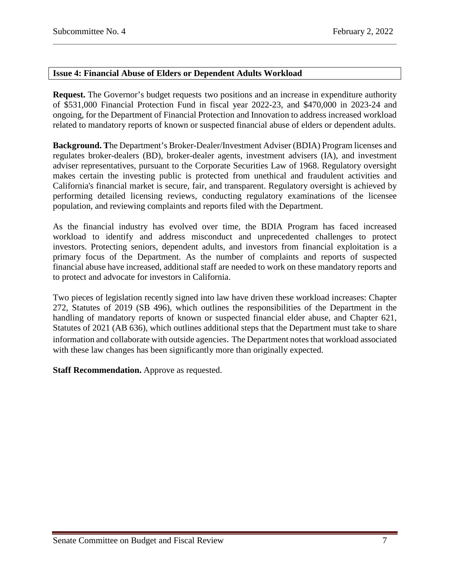## <span id="page-6-0"></span>**Issue 4: Financial Abuse of Elders or Dependent Adults Workload**

**Request.** The Governor's budget requests two positions and an increase in expenditure authority of \$531,000 Financial Protection Fund in fiscal year 2022-23, and \$470,000 in 2023-24 and ongoing, for the Department of Financial Protection and Innovation to address increased workload related to mandatory reports of known or suspected financial abuse of elders or dependent adults.

**Background. T**he Department's Broker-Dealer/Investment Adviser (BDIA) Program licenses and regulates broker-dealers (BD), broker-dealer agents, investment advisers (IA), and investment adviser representatives, pursuant to the Corporate Securities Law of 1968. Regulatory oversight makes certain the investing public is protected from unethical and fraudulent activities and California's financial market is secure, fair, and transparent. Regulatory oversight is achieved by performing detailed licensing reviews, conducting regulatory examinations of the licensee population, and reviewing complaints and reports filed with the Department.

As the financial industry has evolved over time, the BDIA Program has faced increased workload to identify and address misconduct and unprecedented challenges to protect investors. Protecting seniors, dependent adults, and investors from financial exploitation is a primary focus of the Department. As the number of complaints and reports of suspected financial abuse have increased, additional staff are needed to work on these mandatory reports and to protect and advocate for investors in California.

Two pieces of legislation recently signed into law have driven these workload increases: Chapter 272, Statutes of 2019 (SB 496), which outlines the responsibilities of the Department in the handling of mandatory reports of known or suspected financial elder abuse, and Chapter 621, Statutes of 2021 (AB 636), which outlines additional steps that the Department must take to share information and collaborate with outside agencies. The Department notes that workload associated with these law changes has been significantly more than originally expected.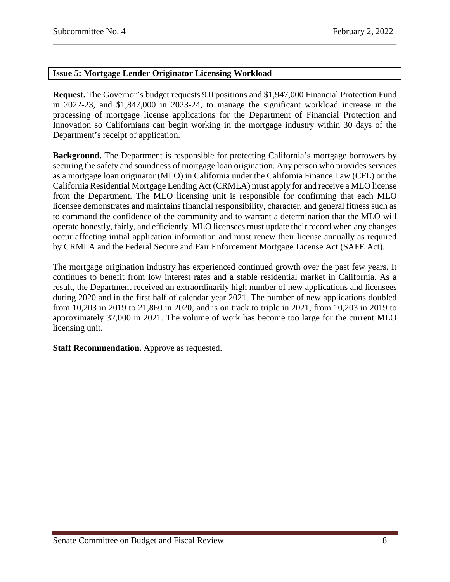# <span id="page-7-0"></span>**Issue 5: Mortgage Lender Originator Licensing Workload**

**Request.** The Governor's budget requests 9.0 positions and \$1,947,000 Financial Protection Fund in 2022-23, and \$1,847,000 in 2023-24, to manage the significant workload increase in the processing of mortgage license applications for the Department of Financial Protection and Innovation so Californians can begin working in the mortgage industry within 30 days of the Department's receipt of application.

**Background.** The Department is responsible for protecting California's mortgage borrowers by securing the safety and soundness of mortgage loan origination. Any person who provides services as a mortgage loan originator (MLO) in California under the California Finance Law (CFL) or the California Residential Mortgage Lending Act (CRMLA) must apply for and receive a MLO license from the Department. The MLO licensing unit is responsible for confirming that each MLO licensee demonstrates and maintains financial responsibility, character, and general fitness such as to command the confidence of the community and to warrant a determination that the MLO will operate honestly, fairly, and efficiently. MLO licensees must update their record when any changes occur affecting initial application information and must renew their license annually as required by CRMLA and the Federal Secure and Fair Enforcement Mortgage License Act (SAFE Act).

The mortgage origination industry has experienced continued growth over the past few years. It continues to benefit from low interest rates and a stable residential market in California. As a result, the Department received an extraordinarily high number of new applications and licensees during 2020 and in the first half of calendar year 2021. The number of new applications doubled from 10,203 in 2019 to 21,860 in 2020, and is on track to triple in 2021, from 10,203 in 2019 to approximately 32,000 in 2021. The volume of work has become too large for the current MLO licensing unit.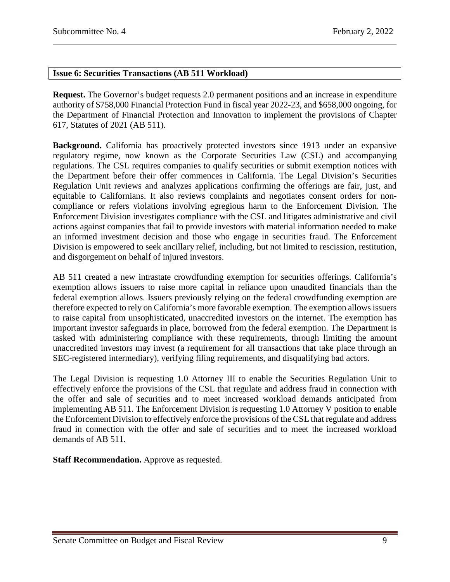#### <span id="page-8-0"></span>**Issue 6: Securities Transactions (AB 511 Workload)**

**Request.** The Governor's budget requests 2.0 permanent positions and an increase in expenditure authority of \$758,000 Financial Protection Fund in fiscal year 2022-23, and \$658,000 ongoing, for the Department of Financial Protection and Innovation to implement the provisions of Chapter 617, Statutes of 2021 (AB 511).

**Background.** California has proactively protected investors since 1913 under an expansive regulatory regime, now known as the Corporate Securities Law (CSL) and accompanying regulations. The CSL requires companies to qualify securities or submit exemption notices with the Department before their offer commences in California. The Legal Division's Securities Regulation Unit reviews and analyzes applications confirming the offerings are fair, just, and equitable to Californians. It also reviews complaints and negotiates consent orders for noncompliance or refers violations involving egregious harm to the Enforcement Division. The Enforcement Division investigates compliance with the CSL and litigates administrative and civil actions against companies that fail to provide investors with material information needed to make an informed investment decision and those who engage in securities fraud. The Enforcement Division is empowered to seek ancillary relief, including, but not limited to rescission, restitution, and disgorgement on behalf of injured investors.

AB 511 created a new intrastate crowdfunding exemption for securities offerings. California's exemption allows issuers to raise more capital in reliance upon unaudited financials than the federal exemption allows. Issuers previously relying on the federal crowdfunding exemption are therefore expected to rely on California's more favorable exemption. The exemption allows issuers to raise capital from unsophisticated, unaccredited investors on the internet. The exemption has important investor safeguards in place, borrowed from the federal exemption. The Department is tasked with administering compliance with these requirements, through limiting the amount unaccredited investors may invest (a requirement for all transactions that take place through an SEC-registered intermediary), verifying filing requirements, and disqualifying bad actors.

The Legal Division is requesting 1.0 Attorney III to enable the Securities Regulation Unit to effectively enforce the provisions of the CSL that regulate and address fraud in connection with the offer and sale of securities and to meet increased workload demands anticipated from implementing AB 511. The Enforcement Division is requesting 1.0 Attorney V position to enable the Enforcement Division to effectively enforce the provisions of the CSL that regulate and address fraud in connection with the offer and sale of securities and to meet the increased workload demands of AB 511.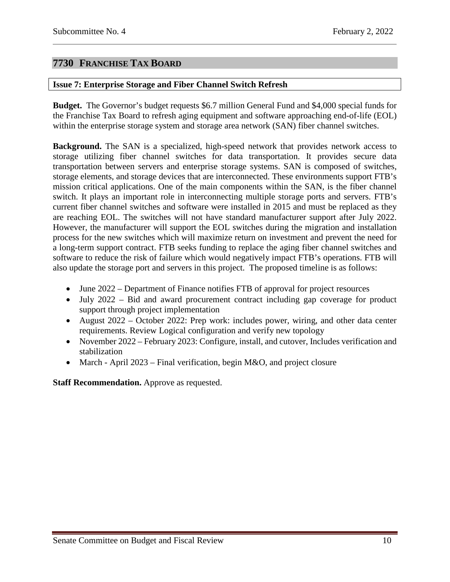# <span id="page-9-0"></span>**7730 FRANCHISE TAX BOARD**

#### <span id="page-9-1"></span>**Issue 7: Enterprise Storage and Fiber Channel Switch Refresh**

**Budget.** The Governor's budget requests \$6.7 million General Fund and \$4,000 special funds for the Franchise Tax Board to refresh aging equipment and software approaching end-of-life (EOL) within the enterprise storage system and storage area network (SAN) fiber channel switches.

**Background.** The SAN is a specialized, high-speed network that provides network access to storage utilizing fiber channel switches for data transportation. It provides secure data transportation between servers and enterprise storage systems. SAN is composed of switches, storage elements, and storage devices that are interconnected. These environments support FTB's mission critical applications. One of the main components within the SAN, is the fiber channel switch. It plays an important role in interconnecting multiple storage ports and servers. FTB's current fiber channel switches and software were installed in 2015 and must be replaced as they are reaching EOL. The switches will not have standard manufacturer support after July 2022. However, the manufacturer will support the EOL switches during the migration and installation process for the new switches which will maximize return on investment and prevent the need for a long-term support contract. FTB seeks funding to replace the aging fiber channel switches and software to reduce the risk of failure which would negatively impact FTB's operations. FTB will also update the storage port and servers in this project. The proposed timeline is as follows:

- June 2022 Department of Finance notifies FTB of approval for project resources
- July 2022 Bid and award procurement contract including gap coverage for product support through project implementation
- August 2022 October 2022: Prep work: includes power, wiring, and other data center requirements. Review Logical configuration and verify new topology
- November 2022 February 2023: Configure, install, and cutover, Includes verification and stabilization
- March April 2023 Final verification, begin M&O, and project closure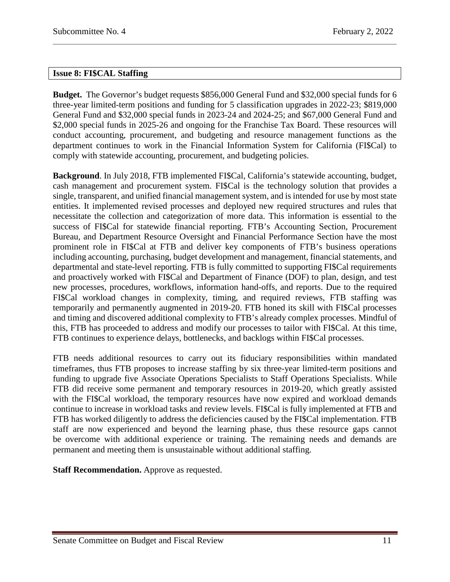## <span id="page-10-0"></span>**Issue 8: FI\$CAL Staffing**

**Budget.** The Governor's budget requests \$856,000 General Fund and \$32,000 special funds for 6 three-year limited-term positions and funding for 5 classification upgrades in 2022-23; \$819,000 General Fund and \$32,000 special funds in 2023-24 and 2024-25; and \$67,000 General Fund and \$2,000 special funds in 2025-26 and ongoing for the Franchise Tax Board. These resources will conduct accounting, procurement, and budgeting and resource management functions as the department continues to work in the Financial Information System for California (FI\$Cal) to comply with statewide accounting, procurement, and budgeting policies.

**Background**. In July 2018, FTB implemented FI\$Cal, California's statewide accounting, budget, cash management and procurement system. FI\$Cal is the technology solution that provides a single, transparent, and unified financial management system, and is intended for use by most state entities. It implemented revised processes and deployed new required structures and rules that necessitate the collection and categorization of more data. This information is essential to the success of FI\$Cal for statewide financial reporting. FTB's Accounting Section, Procurement Bureau, and Department Resource Oversight and Financial Performance Section have the most prominent role in FI\$Cal at FTB and deliver key components of FTB's business operations including accounting, purchasing, budget development and management, financial statements, and departmental and state-level reporting. FTB is fully committed to supporting FI\$Cal requirements and proactively worked with FI\$Cal and Department of Finance (DOF) to plan, design, and test new processes, procedures, workflows, information hand-offs, and reports. Due to the required FI\$Cal workload changes in complexity, timing, and required reviews, FTB staffing was temporarily and permanently augmented in 2019-20. FTB honed its skill with FI\$Cal processes and timing and discovered additional complexity to FTB's already complex processes. Mindful of this, FTB has proceeded to address and modify our processes to tailor with FI\$Cal. At this time, FTB continues to experience delays, bottlenecks, and backlogs within FI\$Cal processes.

FTB needs additional resources to carry out its fiduciary responsibilities within mandated timeframes, thus FTB proposes to increase staffing by six three-year limited-term positions and funding to upgrade five Associate Operations Specialists to Staff Operations Specialists. While FTB did receive some permanent and temporary resources in 2019-20, which greatly assisted with the FISCal workload, the temporary resources have now expired and workload demands continue to increase in workload tasks and review levels. FI\$Cal is fully implemented at FTB and FTB has worked diligently to address the deficiencies caused by the FI\$Cal implementation. FTB staff are now experienced and beyond the learning phase, thus these resource gaps cannot be overcome with additional experience or training. The remaining needs and demands are permanent and meeting them is unsustainable without additional staffing.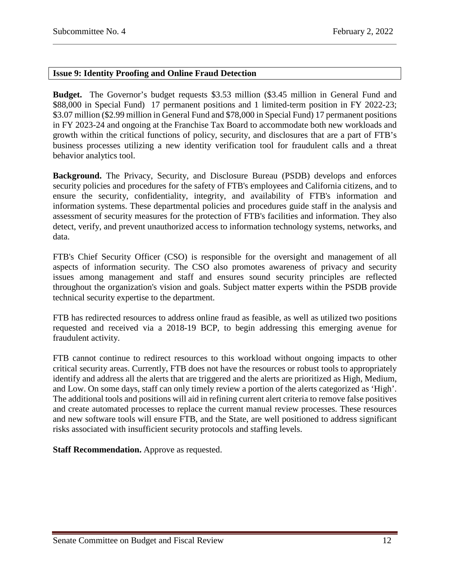## <span id="page-11-0"></span>**Issue 9: Identity Proofing and Online Fraud Detection**

**Budget.** The Governor's budget requests \$3.53 million (\$3.45 million in General Fund and \$88,000 in Special Fund) 17 permanent positions and 1 limited-term position in FY 2022-23; \$3.07 million (\$2.99 million in General Fund and \$78,000 in Special Fund) 17 permanent positions in FY 2023-24 and ongoing at the Franchise Tax Board to accommodate both new workloads and growth within the critical functions of policy, security, and disclosures that are a part of FTB's business processes utilizing a new identity verification tool for fraudulent calls and a threat behavior analytics tool.

**Background.** The Privacy, Security, and Disclosure Bureau (PSDB) develops and enforces security policies and procedures for the safety of FTB's employees and California citizens, and to ensure the security, confidentiality, integrity, and availability of FTB's information and information systems. These departmental policies and procedures guide staff in the analysis and assessment of security measures for the protection of FTB's facilities and information. They also detect, verify, and prevent unauthorized access to information technology systems, networks, and data.

FTB's Chief Security Officer (CSO) is responsible for the oversight and management of all aspects of information security. The CSO also promotes awareness of privacy and security issues among management and staff and ensures sound security principles are reflected throughout the organization's vision and goals. Subject matter experts within the PSDB provide technical security expertise to the department.

FTB has redirected resources to address online fraud as feasible, as well as utilized two positions requested and received via a 2018-19 BCP, to begin addressing this emerging avenue for fraudulent activity.

FTB cannot continue to redirect resources to this workload without ongoing impacts to other critical security areas. Currently, FTB does not have the resources or robust tools to appropriately identify and address all the alerts that are triggered and the alerts are prioritized as High, Medium, and Low. On some days, staff can only timely review a portion of the alerts categorized as 'High'. The additional tools and positions will aid in refining current alert criteria to remove false positives and create automated processes to replace the current manual review processes. These resources and new software tools will ensure FTB, and the State, are well positioned to address significant risks associated with insufficient security protocols and staffing levels.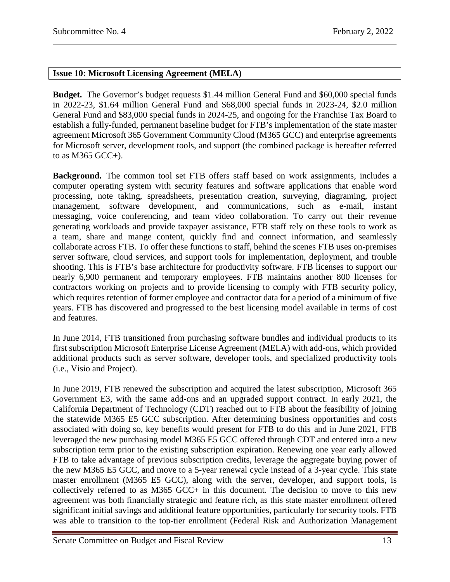# <span id="page-12-0"></span>**Issue 10: Microsoft Licensing Agreement (MELA)**

**Budget.** The Governor's budget requests \$1.44 million General Fund and \$60,000 special funds in 2022-23, \$1.64 million General Fund and \$68,000 special funds in 2023-24, \$2.0 million General Fund and \$83,000 special funds in 2024-25, and ongoing for the Franchise Tax Board to establish a fully-funded, permanent baseline budget for FTB's implementation of the state master agreement Microsoft 365 Government Community Cloud (M365 GCC) and enterprise agreements for Microsoft server, development tools, and support (the combined package is hereafter referred to as M365 GCC+).

**Background.** The common tool set FTB offers staff based on work assignments, includes a computer operating system with security features and software applications that enable word processing, note taking, spreadsheets, presentation creation, surveying, diagraming, project management, software development, and communications, such as e-mail, instant messaging, voice conferencing, and team video collaboration. To carry out their revenue generating workloads and provide taxpayer assistance, FTB staff rely on these tools to work as a team, share and mange content, quickly find and connect information, and seamlessly collaborate across FTB. To offer these functions to staff, behind the scenes FTB uses on-premises server software, cloud services, and support tools for implementation, deployment, and trouble shooting. This is FTB's base architecture for productivity software. FTB licenses to support our nearly 6,900 permanent and temporary employees. FTB maintains another 800 licenses for contractors working on projects and to provide licensing to comply with FTB security policy, which requires retention of former employee and contractor data for a period of a minimum of five years. FTB has discovered and progressed to the best licensing model available in terms of cost and features.

In June 2014, FTB transitioned from purchasing software bundles and individual products to its first subscription Microsoft Enterprise License Agreement (MELA) with add-ons, which provided additional products such as server software, developer tools, and specialized productivity tools (i.e., Visio and Project).

In June 2019, FTB renewed the subscription and acquired the latest subscription, Microsoft 365 Government E3, with the same add-ons and an upgraded support contract. In early 2021, the California Department of Technology (CDT) reached out to FTB about the feasibility of joining the statewide M365 E5 GCC subscription. After determining business opportunities and costs associated with doing so, key benefits would present for FTB to do this and in June 2021, FTB leveraged the new purchasing model M365 E5 GCC offered through CDT and entered into a new subscription term prior to the existing subscription expiration. Renewing one year early allowed FTB to take advantage of previous subscription credits, leverage the aggregate buying power of the new M365 E5 GCC, and move to a 5-year renewal cycle instead of a 3-year cycle. This state master enrollment (M365 E5 GCC), along with the server, developer, and support tools, is collectively referred to as M365 GCC+ in this document. The decision to move to this new agreement was both financially strategic and feature rich, as this state master enrollment offered significant initial savings and additional feature opportunities, particularly for security tools. FTB was able to transition to the top-tier enrollment (Federal Risk and Authorization Management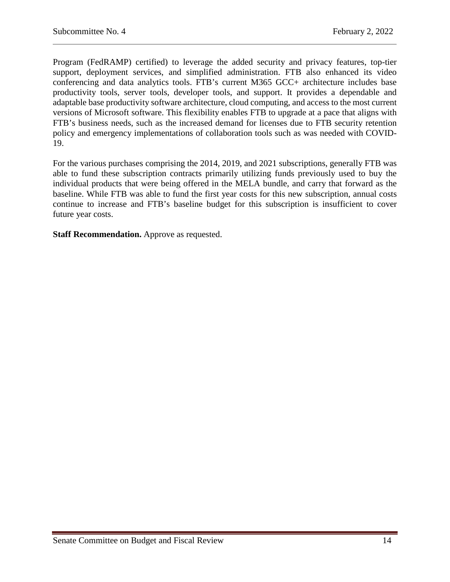Program (FedRAMP) certified) to leverage the added security and privacy features, top-tier support, deployment services, and simplified administration. FTB also enhanced its video conferencing and data analytics tools. FTB's current M365 GCC+ architecture includes base productivity tools, server tools, developer tools, and support. It provides a dependable and adaptable base productivity software architecture, cloud computing, and access to the most current versions of Microsoft software. This flexibility enables FTB to upgrade at a pace that aligns with FTB's business needs, such as the increased demand for licenses due to FTB security retention policy and emergency implementations of collaboration tools such as was needed with COVID-19.

For the various purchases comprising the 2014, 2019, and 2021 subscriptions, generally FTB was able to fund these subscription contracts primarily utilizing funds previously used to buy the individual products that were being offered in the MELA bundle, and carry that forward as the baseline. While FTB was able to fund the first year costs for this new subscription, annual costs continue to increase and FTB's baseline budget for this subscription is insufficient to cover future year costs.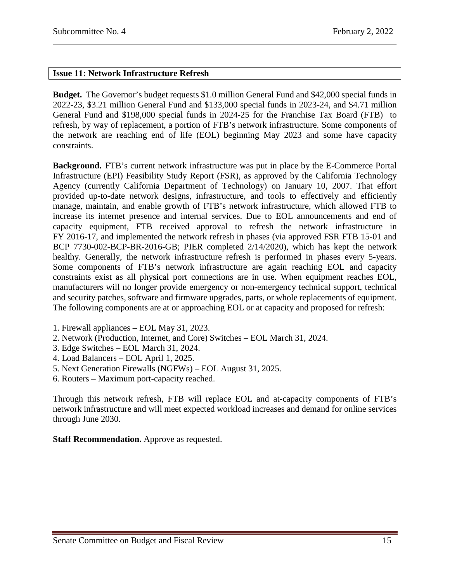# <span id="page-14-0"></span>**Issue 11: Network Infrastructure Refresh**

**Budget.** The Governor's budget requests \$1.0 million General Fund and \$42,000 special funds in 2022-23, \$3.21 million General Fund and \$133,000 special funds in 2023-24, and \$4.71 million General Fund and \$198,000 special funds in 2024-25 for the Franchise Tax Board (FTB) to refresh, by way of replacement, a portion of FTB's network infrastructure. Some components of the network are reaching end of life (EOL) beginning May 2023 and some have capacity constraints.

**Background.** FTB's current network infrastructure was put in place by the E-Commerce Portal Infrastructure (EPI) Feasibility Study Report (FSR), as approved by the California Technology Agency (currently California Department of Technology) on January 10, 2007. That effort provided up-to-date network designs, infrastructure, and tools to effectively and efficiently manage, maintain, and enable growth of FTB's network infrastructure, which allowed FTB to increase its internet presence and internal services. Due to EOL announcements and end of capacity equipment, FTB received approval to refresh the network infrastructure in FY 2016-17, and implemented the network refresh in phases (via approved FSR FTB 15-01 and BCP 7730-002-BCP-BR-2016-GB; PIER completed 2/14/2020), which has kept the network healthy. Generally, the network infrastructure refresh is performed in phases every 5-years. Some components of FTB's network infrastructure are again reaching EOL and capacity constraints exist as all physical port connections are in use. When equipment reaches EOL, manufacturers will no longer provide emergency or non-emergency technical support, technical and security patches, software and firmware upgrades, parts, or whole replacements of equipment. The following components are at or approaching EOL or at capacity and proposed for refresh:

- 1. Firewall appliances EOL May 31, 2023.
- 2. Network (Production, Internet, and Core) Switches EOL March 31, 2024.
- 3. Edge Switches EOL March 31, 2024.
- 4. Load Balancers EOL April 1, 2025.
- 5. Next Generation Firewalls (NGFWs) EOL August 31, 2025.
- 6. Routers Maximum port-capacity reached.

Through this network refresh, FTB will replace EOL and at-capacity components of FTB's network infrastructure and will meet expected workload increases and demand for online services through June 2030.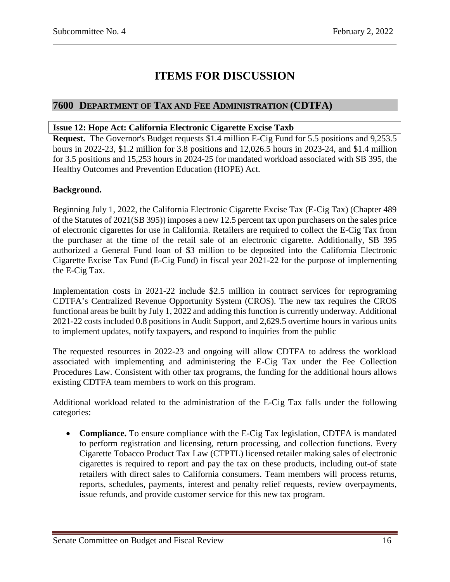# **ITEMS FOR DISCUSSION**

# <span id="page-15-0"></span>**7600 DEPARTMENT OF TAX AND FEE ADMINISTRATION (CDTFA)**

## <span id="page-15-1"></span>**Issue 12: Hope Act: California Electronic Cigarette Excise Taxb**

**Request.** The Governor's Budget requests \$1.4 million E-Cig Fund for 5.5 positions and 9,253.5 hours in 2022-23, \$1.2 million for 3.8 positions and 12,026.5 hours in 2023-24, and \$1.4 million for 3.5 positions and 15,253 hours in 2024-25 for mandated workload associated with SB 395, the Healthy Outcomes and Prevention Education (HOPE) Act.

# **Background.**

Beginning July 1, 2022, the California Electronic Cigarette Excise Tax (E-Cig Tax) (Chapter 489 of the Statutes of 2021(SB 395)) imposes a new 12.5 percent tax upon purchasers on the sales price of electronic cigarettes for use in California. Retailers are required to collect the E-Cig Tax from the purchaser at the time of the retail sale of an electronic cigarette. Additionally, SB 395 authorized a General Fund loan of \$3 million to be deposited into the California Electronic Cigarette Excise Tax Fund (E-Cig Fund) in fiscal year 2021-22 for the purpose of implementing the E-Cig Tax.

Implementation costs in 2021-22 include \$2.5 million in contract services for reprograming CDTFA's Centralized Revenue Opportunity System (CROS). The new tax requires the CROS functional areas be built by July 1, 2022 and adding this function is currently underway. Additional 2021-22 costs included 0.8 positions in Audit Support, and 2,629.5 overtime hours in various units to implement updates, notify taxpayers, and respond to inquiries from the public

The requested resources in 2022-23 and ongoing will allow CDTFA to address the workload associated with implementing and administering the E-Cig Tax under the Fee Collection Procedures Law. Consistent with other tax programs, the funding for the additional hours allows existing CDTFA team members to work on this program.

Additional workload related to the administration of the E-Cig Tax falls under the following categories:

• **Compliance.** To ensure compliance with the E-Cig Tax legislation, CDTFA is mandated to perform registration and licensing, return processing, and collection functions. Every Cigarette Tobacco Product Tax Law (CTPTL) licensed retailer making sales of electronic cigarettes is required to report and pay the tax on these products, including out-of state retailers with direct sales to California consumers. Team members will process returns, reports, schedules, payments, interest and penalty relief requests, review overpayments, issue refunds, and provide customer service for this new tax program.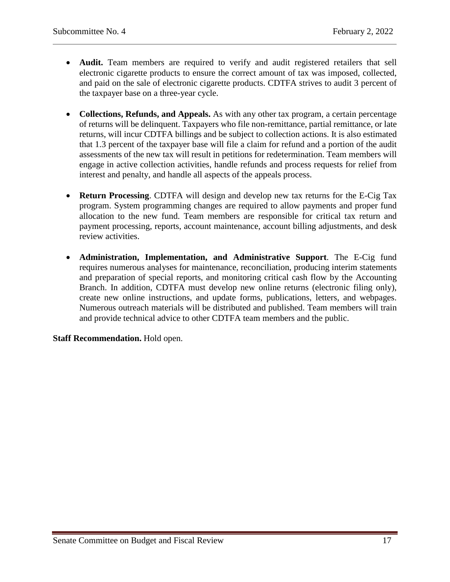- **Audit.** Team members are required to verify and audit registered retailers that sell electronic cigarette products to ensure the correct amount of tax was imposed, collected, and paid on the sale of electronic cigarette products. CDTFA strives to audit 3 percent of the taxpayer base on a three-year cycle.
- **Collections, Refunds, and Appeals.** As with any other tax program, a certain percentage of returns will be delinquent. Taxpayers who file non-remittance, partial remittance, or late returns, will incur CDTFA billings and be subject to collection actions. It is also estimated that 1.3 percent of the taxpayer base will file a claim for refund and a portion of the audit assessments of the new tax will result in petitions for redetermination. Team members will engage in active collection activities, handle refunds and process requests for relief from interest and penalty, and handle all aspects of the appeals process.
- **Return Processing**. CDTFA will design and develop new tax returns for the E-Cig Tax program. System programming changes are required to allow payments and proper fund allocation to the new fund. Team members are responsible for critical tax return and payment processing, reports, account maintenance, account billing adjustments, and desk review activities.
- **Administration, Implementation, and Administrative Support**. The E-Cig fund requires numerous analyses for maintenance, reconciliation, producing interim statements and preparation of special reports, and monitoring critical cash flow by the Accounting Branch. In addition, CDTFA must develop new online returns (electronic filing only), create new online instructions, and update forms, publications, letters, and webpages. Numerous outreach materials will be distributed and published. Team members will train and provide technical advice to other CDTFA team members and the public.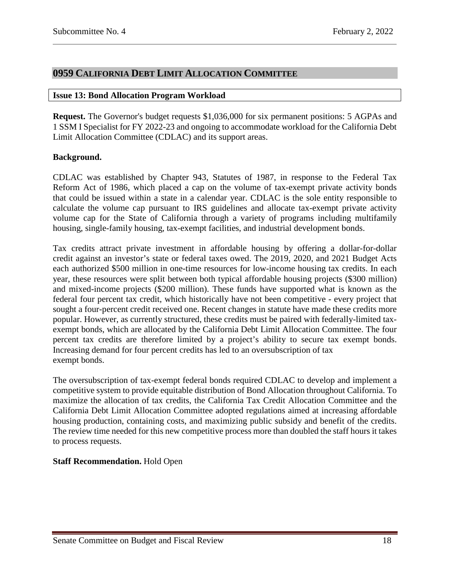# <span id="page-17-0"></span>**0959 CALIFORNIA DEBT LIMIT ALLOCATION COMMITTEE**

#### <span id="page-17-1"></span>**Issue 13: Bond Allocation Program Workload**

**Request.** The Governor's budget requests \$1,036,000 for six permanent positions: 5 AGPAs and 1 SSM I Specialist for FY 2022-23 and ongoing to accommodate workload for the California Debt Limit Allocation Committee (CDLAC) and its support areas.

#### **Background.**

CDLAC was established by Chapter 943, Statutes of 1987, in response to the Federal Tax Reform Act of 1986, which placed a cap on the volume of tax-exempt private activity bonds that could be issued within a state in a calendar year. CDLAC is the sole entity responsible to calculate the volume cap pursuant to IRS guidelines and allocate tax-exempt private activity volume cap for the State of California through a variety of programs including multifamily housing, single-family housing, tax-exempt facilities, and industrial development bonds.

Tax credits attract private investment in affordable housing by offering a dollar-for-dollar credit against an investor's state or federal taxes owed. The 2019, 2020, and 2021 Budget Acts each authorized \$500 million in one-time resources for low-income housing tax credits. In each year, these resources were split between both typical affordable housing projects (\$300 million) and mixed-income projects (\$200 million). These funds have supported what is known as the federal four percent tax credit, which historically have not been competitive - every project that sought a four-percent credit received one. Recent changes in statute have made these credits more popular. However, as currently structured, these credits must be paired with federally-limited taxexempt bonds, which are allocated by the California Debt Limit Allocation Committee. The four percent tax credits are therefore limited by a project's ability to secure tax exempt bonds. Increasing demand for four percent credits has led to an oversubscription of tax exempt bonds.

The oversubscription of tax-exempt federal bonds required CDLAC to develop and implement a competitive system to provide equitable distribution of Bond Allocation throughout California. To maximize the allocation of tax credits, the California Tax Credit Allocation Committee and the California Debt Limit Allocation Committee adopted regulations aimed at increasing affordable housing production, containing costs, and maximizing public subsidy and benefit of the credits. The review time needed for this new competitive process more than doubled the staff hours it takes to process requests.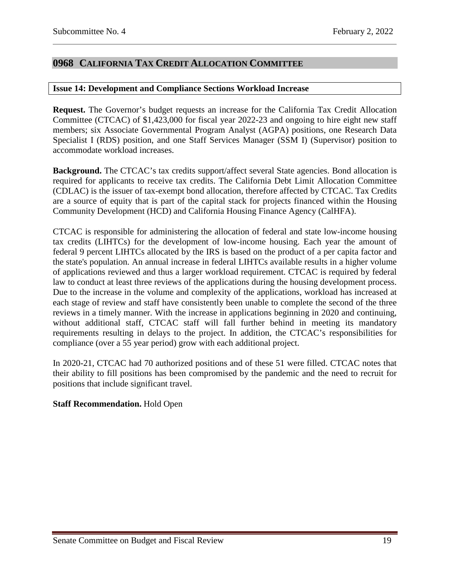# <span id="page-18-0"></span>**0968 CALIFORNIA TAX CREDIT ALLOCATION COMMITTEE**

#### <span id="page-18-1"></span>**Issue 14: Development and Compliance Sections Workload Increase**

**Request.** The Governor's budget requests an increase for the California Tax Credit Allocation Committee (CTCAC) of \$1,423,000 for fiscal year 2022-23 and ongoing to hire eight new staff members; six Associate Governmental Program Analyst (AGPA) positions, one Research Data Specialist I (RDS) position, and one Staff Services Manager (SSM I) (Supervisor) position to accommodate workload increases.

**Background.** The CTCAC's tax credits support/affect several State agencies. Bond allocation is required for applicants to receive tax credits. The California Debt Limit Allocation Committee (CDLAC) is the issuer of tax-exempt bond allocation, therefore affected by CTCAC. Tax Credits are a source of equity that is part of the capital stack for projects financed within the Housing Community Development (HCD) and California Housing Finance Agency (CalHFA).

CTCAC is responsible for administering the allocation of federal and state low-income housing tax credits (LIHTCs) for the development of low-income housing. Each year the amount of federal 9 percent LIHTCs allocated by the IRS is based on the product of a per capita factor and the state's population. An annual increase in federal LIHTCs available results in a higher volume of applications reviewed and thus a larger workload requirement. CTCAC is required by federal law to conduct at least three reviews of the applications during the housing development process. Due to the increase in the volume and complexity of the applications, workload has increased at each stage of review and staff have consistently been unable to complete the second of the three reviews in a timely manner. With the increase in applications beginning in 2020 and continuing, without additional staff, CTCAC staff will fall further behind in meeting its mandatory requirements resulting in delays to the project. In addition, the CTCAC's responsibilities for compliance (over a 55 year period) grow with each additional project.

In 2020-21, CTCAC had 70 authorized positions and of these 51 were filled. CTCAC notes that their ability to fill positions has been compromised by the pandemic and the need to recruit for positions that include significant travel.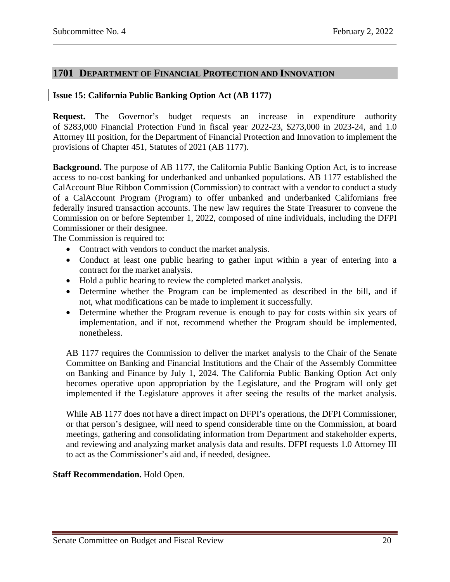# <span id="page-19-0"></span>**1701 DEPARTMENT OF FINANCIAL PROTECTION AND INNOVATION**

## <span id="page-19-1"></span>**Issue 15: California Public Banking Option Act (AB 1177)**

**Request.** The Governor's budget requests an increase in expenditure authority of \$283,000 Financial Protection Fund in fiscal year 2022-23, \$273,000 in 2023-24, and 1.0 Attorney III position, for the Department of Financial Protection and Innovation to implement the provisions of Chapter 451, Statutes of 2021 (AB 1177).

**Background.** The purpose of AB 1177, the California Public Banking Option Act, is to increase access to no-cost banking for underbanked and unbanked populations. AB 1177 established the CalAccount Blue Ribbon Commission (Commission) to contract with a vendor to conduct a study of a CalAccount Program (Program) to offer unbanked and underbanked Californians free federally insured transaction accounts. The new law requires the State Treasurer to convene the Commission on or before September 1, 2022, composed of nine individuals, including the DFPI Commissioner or their designee.

The Commission is required to:

- Contract with vendors to conduct the market analysis.
- Conduct at least one public hearing to gather input within a year of entering into a contract for the market analysis.
- Hold a public hearing to review the completed market analysis.
- Determine whether the Program can be implemented as described in the bill, and if not, what modifications can be made to implement it successfully.
- Determine whether the Program revenue is enough to pay for costs within six years of implementation, and if not, recommend whether the Program should be implemented, nonetheless.

AB 1177 requires the Commission to deliver the market analysis to the Chair of the Senate Committee on Banking and Financial Institutions and the Chair of the Assembly Committee on Banking and Finance by July 1, 2024. The California Public Banking Option Act only becomes operative upon appropriation by the Legislature, and the Program will only get implemented if the Legislature approves it after seeing the results of the market analysis.

While AB 1177 does not have a direct impact on DFPI's operations, the DFPI Commissioner, or that person's designee, will need to spend considerable time on the Commission, at board meetings, gathering and consolidating information from Department and stakeholder experts, and reviewing and analyzing market analysis data and results. DFPI requests 1.0 Attorney III to act as the Commissioner's aid and, if needed, designee.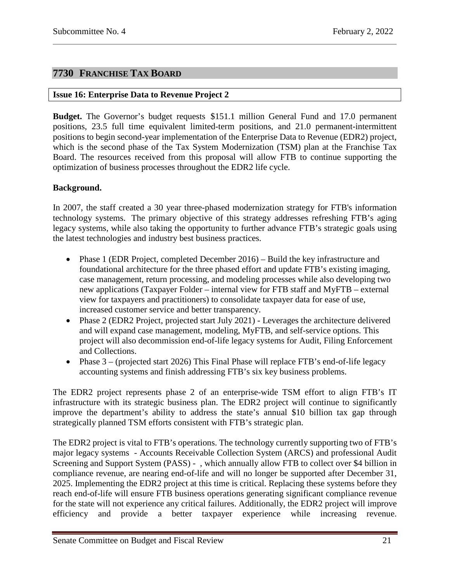# <span id="page-20-0"></span>**7730 FRANCHISE TAX BOARD**

## <span id="page-20-1"></span>**Issue 16: Enterprise Data to Revenue Project 2**

**Budget.** The Governor's budget requests \$151.1 million General Fund and 17.0 permanent positions, 23.5 full time equivalent limited-term positions, and 21.0 permanent-intermittent positions to begin second-year implementation of the Enterprise Data to Revenue (EDR2) project, which is the second phase of the Tax System Modernization (TSM) plan at the Franchise Tax Board. The resources received from this proposal will allow FTB to continue supporting the optimization of business processes throughout the EDR2 life cycle.

# **Background.**

In 2007, the staff created a 30 year three-phased modernization strategy for FTB's information technology systems. The primary objective of this strategy addresses refreshing FTB's aging legacy systems, while also taking the opportunity to further advance FTB's strategic goals using the latest technologies and industry best business practices.

- Phase 1 (EDR Project, completed December 2016) Build the key infrastructure and foundational architecture for the three phased effort and update FTB's existing imaging, case management, return processing, and modeling processes while also developing two new applications (Taxpayer Folder – internal view for FTB staff and MyFTB – external view for taxpayers and practitioners) to consolidate taxpayer data for ease of use, increased customer service and better transparency.
- Phase 2 (EDR2 Project, projected start July 2021) Leverages the architecture delivered and will expand case management, modeling, MyFTB, and self-service options. This project will also decommission end-of-life legacy systems for Audit, Filing Enforcement and Collections.
- Phase  $3 -$  (projected start 2026) This Final Phase will replace FTB's end-of-life legacy accounting systems and finish addressing FTB's six key business problems.

The EDR2 project represents phase 2 of an enterprise-wide TSM effort to align FTB's IT infrastructure with its strategic business plan. The EDR2 project will continue to significantly improve the department's ability to address the state's annual \$10 billion tax gap through strategically planned TSM efforts consistent with FTB's strategic plan.

The EDR2 project is vital to FTB's operations. The technology currently supporting two of FTB's major legacy systems - Accounts Receivable Collection System (ARCS) and professional Audit Screening and Support System (PASS) - , which annually allow FTB to collect over \$4 billion in compliance revenue, are nearing end-of-life and will no longer be supported after December 31, 2025. Implementing the EDR2 project at this time is critical. Replacing these systems before they reach end-of-life will ensure FTB business operations generating significant compliance revenue for the state will not experience any critical failures. Additionally, the EDR2 project will improve efficiency and provide a better taxpayer experience while increasing revenue.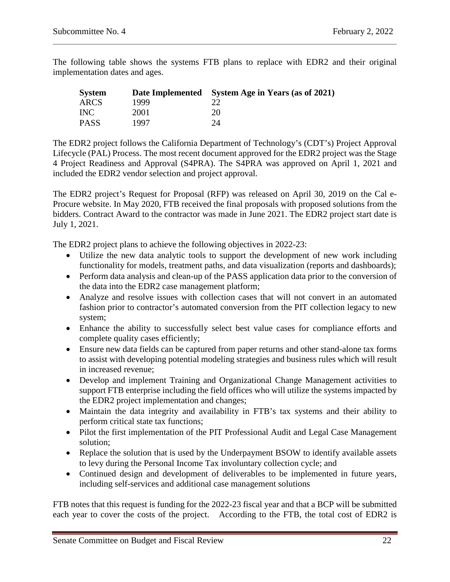The following table shows the systems FTB plans to replace with EDR2 and their original implementation dates and ages.

| <b>System</b> |      | Date Implemented System Age in Years (as of 2021) |
|---------------|------|---------------------------------------------------|
| ARCS          | 1999 |                                                   |
| <b>INC</b>    | 2001 | 20                                                |
| <b>PASS</b>   | 1997 | 24                                                |

The EDR2 project follows the California Department of Technology's (CDT's) Project Approval Lifecycle (PAL) Process. The most recent document approved for the EDR2 project was the Stage 4 Project Readiness and Approval (S4PRA). The S4PRA was approved on April 1, 2021 and included the EDR2 vendor selection and project approval.

The EDR2 project's Request for Proposal (RFP) was released on April 30, 2019 on the Cal e-Procure website. In May 2020, FTB received the final proposals with proposed solutions from the bidders. Contract Award to the contractor was made in June 2021. The EDR2 project start date is July 1, 2021.

The EDR2 project plans to achieve the following objectives in 2022-23:

- Utilize the new data analytic tools to support the development of new work including functionality for models, treatment paths, and data visualization (reports and dashboards);
- Perform data analysis and clean-up of the PASS application data prior to the conversion of the data into the EDR2 case management platform;
- Analyze and resolve issues with collection cases that will not convert in an automated fashion prior to contractor's automated conversion from the PIT collection legacy to new system;
- Enhance the ability to successfully select best value cases for compliance efforts and complete quality cases efficiently;
- Ensure new data fields can be captured from paper returns and other stand-alone tax forms to assist with developing potential modeling strategies and business rules which will result in increased revenue;
- Develop and implement Training and Organizational Change Management activities to support FTB enterprise including the field offices who will utilize the systems impacted by the EDR2 project implementation and changes;
- Maintain the data integrity and availability in FTB's tax systems and their ability to perform critical state tax functions;
- Pilot the first implementation of the PIT Professional Audit and Legal Case Management solution;
- Replace the solution that is used by the Underpayment BSOW to identify available assets to levy during the Personal Income Tax involuntary collection cycle; and
- Continued design and development of deliverables to be implemented in future years, including self-services and additional case management solutions

FTB notes that this request is funding for the 2022-23 fiscal year and that a BCP will be submitted each year to cover the costs of the project. According to the FTB, the total cost of EDR2 is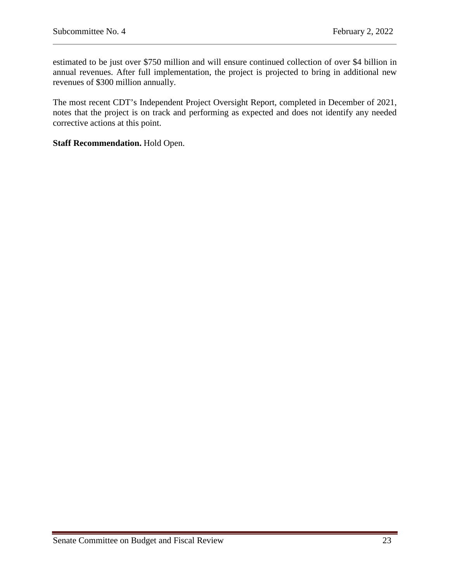estimated to be just over \$750 million and will ensure continued collection of over \$4 billion in annual revenues. After full implementation, the project is projected to bring in additional new revenues of \$300 million annually.

The most recent CDT's Independent Project Oversight Report, completed in December of 2021, notes that the project is on track and performing as expected and does not identify any needed corrective actions at this point.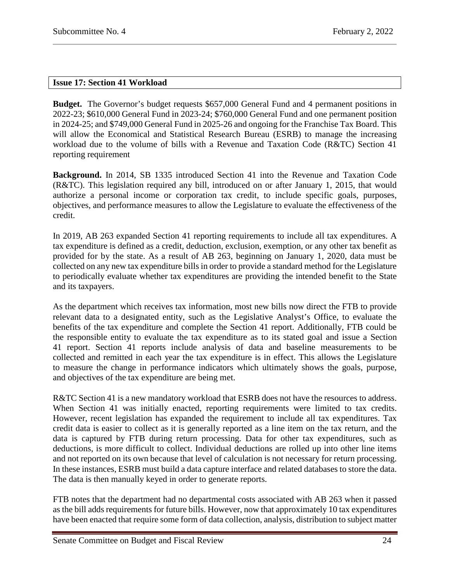## <span id="page-23-0"></span>**Issue 17: Section 41 Workload**

**Budget.** The Governor's budget requests \$657,000 General Fund and 4 permanent positions in 2022-23; \$610,000 General Fund in 2023-24; \$760,000 General Fund and one permanent position in 2024-25; and \$749,000 General Fund in 2025-26 and ongoing for the Franchise Tax Board. This will allow the Economical and Statistical Research Bureau (ESRB) to manage the increasing workload due to the volume of bills with a Revenue and Taxation Code (R&TC) Section 41 reporting requirement

**Background.** In 2014, SB 1335 introduced Section 41 into the Revenue and Taxation Code (R&TC). This legislation required any bill, introduced on or after January 1, 2015, that would authorize a personal income or corporation tax credit, to include specific goals, purposes, objectives, and performance measures to allow the Legislature to evaluate the effectiveness of the credit.

In 2019, AB 263 expanded Section 41 reporting requirements to include all tax expenditures. A tax expenditure is defined as a credit, deduction, exclusion, exemption, or any other tax benefit as provided for by the state. As a result of AB 263, beginning on January 1, 2020, data must be collected on any new tax expenditure bills in order to provide a standard method for the Legislature to periodically evaluate whether tax expenditures are providing the intended benefit to the State and its taxpayers.

As the department which receives tax information, most new bills now direct the FTB to provide relevant data to a designated entity, such as the Legislative Analyst's Office, to evaluate the benefits of the tax expenditure and complete the Section 41 report. Additionally, FTB could be the responsible entity to evaluate the tax expenditure as to its stated goal and issue a Section 41 report. Section 41 reports include analysis of data and baseline measurements to be collected and remitted in each year the tax expenditure is in effect. This allows the Legislature to measure the change in performance indicators which ultimately shows the goals, purpose, and objectives of the tax expenditure are being met.

R&TC Section 41 is a new mandatory workload that ESRB does not have the resources to address. When Section 41 was initially enacted, reporting requirements were limited to tax credits. However, recent legislation has expanded the requirement to include all tax expenditures. Tax credit data is easier to collect as it is generally reported as a line item on the tax return, and the data is captured by FTB during return processing. Data for other tax expenditures, such as deductions, is more difficult to collect. Individual deductions are rolled up into other line items and not reported on its own because that level of calculation is not necessary for return processing. In these instances, ESRB must build a data capture interface and related databases to store the data. The data is then manually keyed in order to generate reports.

FTB notes that the department had no departmental costs associated with AB 263 when it passed as the bill adds requirements for future bills. However, now that approximately 10 tax expenditures have been enacted that require some form of data collection, analysis, distribution to subject matter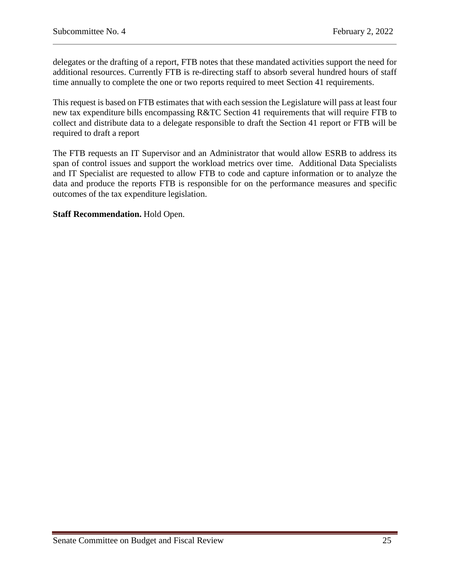delegates or the drafting of a report, FTB notes that these mandated activities support the need for additional resources. Currently FTB is re-directing staff to absorb several hundred hours of staff time annually to complete the one or two reports required to meet Section 41 requirements.

This request is based on FTB estimates that with each session the Legislature will pass at least four new tax expenditure bills encompassing R&TC Section 41 requirements that will require FTB to collect and distribute data to a delegate responsible to draft the Section 41 report or FTB will be required to draft a report

The FTB requests an IT Supervisor and an Administrator that would allow ESRB to address its span of control issues and support the workload metrics over time. Additional Data Specialists and IT Specialist are requested to allow FTB to code and capture information or to analyze the data and produce the reports FTB is responsible for on the performance measures and specific outcomes of the tax expenditure legislation.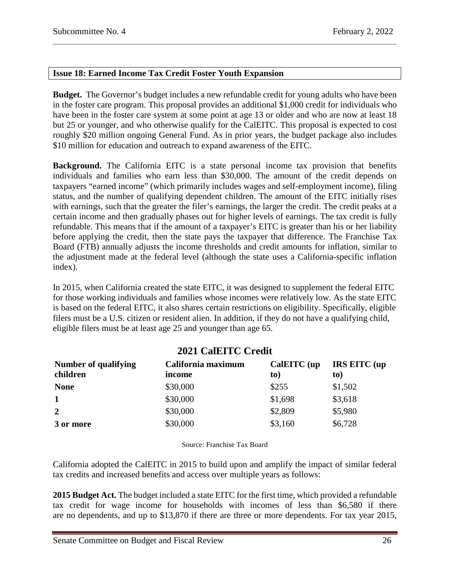# <span id="page-25-0"></span>**Issue 18: Earned Income Tax Credit Foster Youth Expansion**

**Budget.** The Governor's budget includes a new refundable credit for young adults who have been in the foster care program. This proposal provides an additional \$1,000 credit for individuals who have been in the foster care system at some point at age 13 or older and who are now at least 18 but 25 or younger, and who otherwise qualify for the CalEITC. This proposal is expected to cost roughly \$20 million ongoing General Fund. As in prior years, the budget package also includes \$10 million for education and outreach to expand awareness of the EITC.

**Background.** The California EITC is a state personal income tax provision that benefits individuals and families who earn less than \$30,000. The amount of the credit depends on taxpayers "earned income" (which primarily includes wages and self-employment income), filing status, and the number of qualifying dependent children. The amount of the EITC initially rises with earnings, such that the greater the filer's earnings, the larger the credit. The credit peaks at a certain income and then gradually phases out for higher levels of earnings. The tax credit is fully refundable. This means that if the amount of a taxpayer's EITC is greater than his or her liability before applying the credit, then the state pays the taxpayer that difference. The Franchise Tax Board (FTB) annually adjusts the income thresholds and credit amounts for inflation, similar to the adjustment made at the federal level (although the state uses a California-specific inflation index).

In 2015, when California created the state EITC, it was designed to supplement the federal EITC for those working individuals and families whose incomes were relatively low. As the state EITC is based on the federal EITC, it also shares certain restrictions on eligibility. Specifically, eligible filers must be a U.S. citizen or resident alien. In addition, if they do not have a qualifying child, eligible filers must be at least age 25 and younger than age 65.

# **2021 CalEITC Credit**

| Number of qualifying<br>children | California maximum<br>income | CalEITC (up<br>to) | <b>IRS EITC</b> (up<br>to) |
|----------------------------------|------------------------------|--------------------|----------------------------|
| <b>None</b>                      | \$30,000                     | \$255              | \$1,502                    |
| 1                                | \$30,000                     | \$1,698            | \$3,618                    |
| $\overline{2}$                   | \$30,000                     | \$2,809            | \$5,980                    |
| 3 or more                        | \$30,000                     | \$3,160            | \$6,728                    |

Source: Franchise Tax Board

California adopted the CalEITC in 2015 to build upon and amplify the impact of similar federal tax credits and increased benefits and access over multiple years as follows:

**2015 Budget Act.** The budget included a state EITC for the first time, which provided a refundable tax credit for wage income for households with incomes of less than \$6,580 if there are no dependents, and up to \$13,870 if there are three or more dependents. For tax year 2015,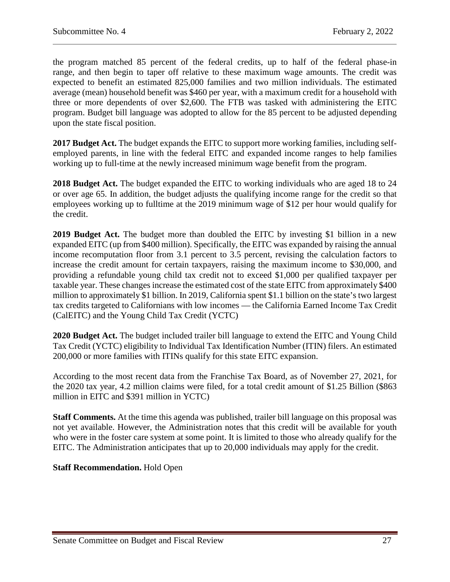the program matched 85 percent of the federal credits, up to half of the federal phase-in range, and then begin to taper off relative to these maximum wage amounts. The credit was expected to benefit an estimated 825,000 families and two million individuals. The estimated average (mean) household benefit was \$460 per year, with a maximum credit for a household with three or more dependents of over \$2,600. The FTB was tasked with administering the EITC program. Budget bill language was adopted to allow for the 85 percent to be adjusted depending upon the state fiscal position.

**2017 Budget Act.** The budget expands the EITC to support more working families, including selfemployed parents, in line with the federal EITC and expanded income ranges to help families working up to full-time at the newly increased minimum wage benefit from the program.

**2018 Budget Act.** The budget expanded the EITC to working individuals who are aged 18 to 24 or over age 65. In addition, the budget adjusts the qualifying income range for the credit so that employees working up to fulltime at the 2019 minimum wage of \$12 per hour would qualify for the credit.

**2019 Budget Act.** The budget more than doubled the EITC by investing \$1 billion in a new expanded EITC (up from \$400 million). Specifically, the EITC was expanded by raising the annual income recomputation floor from 3.1 percent to 3.5 percent, revising the calculation factors to increase the credit amount for certain taxpayers, raising the maximum income to \$30,000, and providing a refundable young child tax credit not to exceed \$1,000 per qualified taxpayer per taxable year. These changes increase the estimated cost of the state EITC from approximately \$400 million to approximately \$1 billion. In 2019, California spent \$1.1 billion on the state's two largest tax credits targeted to Californians with low incomes — the California Earned Income Tax Credit (CalEITC) and the Young Child Tax Credit (YCTC)

**2020 Budget Act.** The budget included trailer bill language to extend the EITC and Young Child Tax Credit (YCTC) eligibility to Individual Tax Identification Number (ITIN) filers. An estimated 200,000 or more families with ITINs qualify for this state EITC expansion.

According to the most recent data from the Franchise Tax Board, as of November 27, 2021, for the 2020 tax year, 4.2 million claims were filed, for a total credit amount of \$1.25 Billion (\$863 million in EITC and \$391 million in YCTC)

**Staff Comments.** At the time this agenda was published, trailer bill language on this proposal was not yet available. However, the Administration notes that this credit will be available for youth who were in the foster care system at some point. It is limited to those who already qualify for the EITC. The Administration anticipates that up to 20,000 individuals may apply for the credit.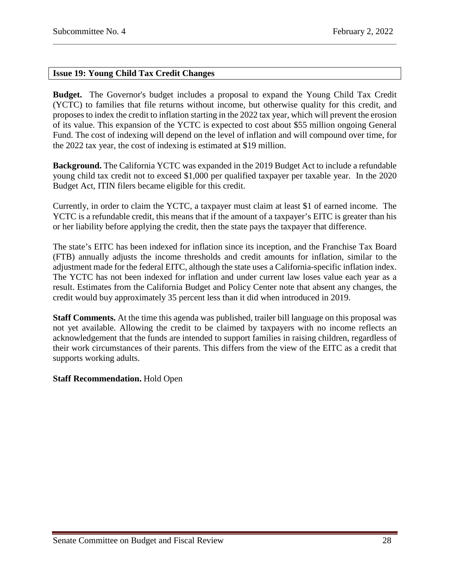# <span id="page-27-0"></span>**Issue 19: Young Child Tax Credit Changes**

**Budget.** The Governor's budget includes a proposal to expand the Young Child Tax Credit (YCTC) to families that file returns without income, but otherwise quality for this credit, and proposes to index the credit to inflation starting in the 2022 tax year, which will prevent the erosion of its value. This expansion of the YCTC is expected to cost about \$55 million ongoing General Fund. The cost of indexing will depend on the level of inflation and will compound over time, for the 2022 tax year, the cost of indexing is estimated at \$19 million.

**Background.** The California YCTC was expanded in the 2019 Budget Act to include a refundable young child tax credit not to exceed \$1,000 per qualified taxpayer per taxable year. In the 2020 Budget Act, ITIN filers became eligible for this credit.

Currently, in order to claim the YCTC, a taxpayer must claim at least \$1 of earned income. The YCTC is a refundable credit, this means that if the amount of a taxpayer's EITC is greater than his or her liability before applying the credit, then the state pays the taxpayer that difference.

The state's EITC has been indexed for inflation since its inception, and the Franchise Tax Board (FTB) annually adjusts the income thresholds and credit amounts for inflation, similar to the adjustment made for the federal EITC, although the state uses a California-specific inflation index. The YCTC has not been indexed for inflation and under current law loses value each year as a result. Estimates from the California Budget and Policy Center note that absent any changes, the credit would buy approximately 35 percent less than it did when introduced in 2019.

**Staff Comments.** At the time this agenda was published, trailer bill language on this proposal was not yet available. Allowing the credit to be claimed by taxpayers with no income reflects an acknowledgement that the funds are intended to support families in raising children, regardless of their work circumstances of their parents. This differs from the view of the EITC as a credit that supports working adults.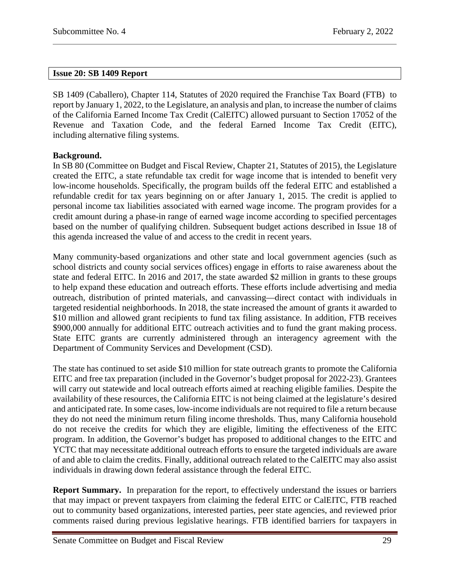## <span id="page-28-0"></span>**Issue 20: SB 1409 Report**

SB 1409 (Caballero), Chapter 114, Statutes of 2020 required the Franchise Tax Board (FTB) to report by January 1, 2022, to the Legislature, an analysis and plan, to increase the number of claims of the California Earned Income Tax Credit (CalEITC) allowed pursuant to Section 17052 of the Revenue and Taxation Code, and the federal Earned Income Tax Credit (EITC), including alternative filing systems.

## **Background.**

In SB 80 (Committee on Budget and Fiscal Review, Chapter 21, Statutes of 2015), the Legislature created the EITC, a state refundable tax credit for wage income that is intended to benefit very low-income households. Specifically, the program builds off the federal EITC and established a refundable credit for tax years beginning on or after January 1, 2015. The credit is applied to personal income tax liabilities associated with earned wage income. The program provides for a credit amount during a phase-in range of earned wage income according to specified percentages based on the number of qualifying children. Subsequent budget actions described in Issue 18 of this agenda increased the value of and access to the credit in recent years.

Many community-based organizations and other state and local government agencies (such as school districts and county social services offices) engage in efforts to raise awareness about the state and federal EITC. In 2016 and 2017, the state awarded \$2 million in grants to these groups to help expand these education and outreach efforts. These efforts include advertising and media outreach, distribution of printed materials, and canvassing—direct contact with individuals in targeted residential neighborhoods. In 2018, the state increased the amount of grants it awarded to \$10 million and allowed grant recipients to fund tax filing assistance. In addition, FTB receives \$900,000 annually for additional EITC outreach activities and to fund the grant making process. State EITC grants are currently administered through an interagency agreement with the Department of Community Services and Development (CSD).

The state has continued to set aside \$10 million for state outreach grants to promote the California EITC and free tax preparation (included in the Governor's budget proposal for 2022-23). Grantees will carry out statewide and local outreach efforts aimed at reaching eligible families. Despite the availability of these resources, the California EITC is not being claimed at the legislature's desired and anticipated rate. In some cases, low-income individuals are not required to file a return because they do not need the minimum return filing income thresholds. Thus, many California household do not receive the credits for which they are eligible, limiting the effectiveness of the EITC program. In addition, the Governor's budget has proposed to additional changes to the EITC and YCTC that may necessitate additional outreach efforts to ensure the targeted individuals are aware of and able to claim the credits. Finally, additional outreach related to the CalEITC may also assist individuals in drawing down federal assistance through the federal EITC.

**Report Summary.** In preparation for the report, to effectively understand the issues or barriers that may impact or prevent taxpayers from claiming the federal EITC or CalEITC, FTB reached out to community based organizations, interested parties, peer state agencies, and reviewed prior comments raised during previous legislative hearings. FTB identified barriers for taxpayers in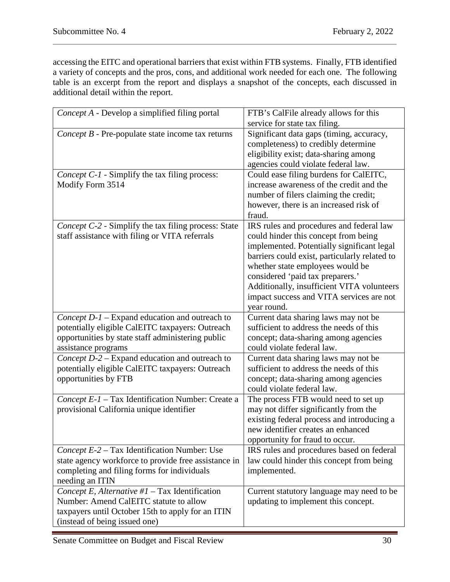accessing the EITC and operational barriers that exist within FTB systems. Finally, FTB identified a variety of concepts and the pros, cons, and additional work needed for each one. The following table is an excerpt from the report and displays a snapshot of the concepts, each discussed in additional detail within the report.

| Concept A - Develop a simplified filing portal                                                                                                                                    | FTB's CalFile already allows for this<br>service for state tax filing.                                                                                                                                                                                                                                                                                           |
|-----------------------------------------------------------------------------------------------------------------------------------------------------------------------------------|------------------------------------------------------------------------------------------------------------------------------------------------------------------------------------------------------------------------------------------------------------------------------------------------------------------------------------------------------------------|
| Concept B - Pre-populate state income tax returns                                                                                                                                 | Significant data gaps (timing, accuracy,<br>completeness) to credibly determine<br>eligibility exist; data-sharing among<br>agencies could violate federal law.                                                                                                                                                                                                  |
| Concept C-1 - Simplify the tax filing process:<br>Modify Form 3514                                                                                                                | Could ease filing burdens for CalEITC,<br>increase awareness of the credit and the<br>number of filers claiming the credit;<br>however, there is an increased risk of<br>fraud.                                                                                                                                                                                  |
| Concept C-2 - Simplify the tax filing process: State<br>staff assistance with filing or VITA referrals                                                                            | IRS rules and procedures and federal law<br>could hinder this concept from being<br>implemented. Potentially significant legal<br>barriers could exist, particularly related to<br>whether state employees would be<br>considered 'paid tax preparers.'<br>Additionally, insufficient VITA volunteers<br>impact success and VITA services are not<br>year round. |
| Concept D-1 - Expand education and outreach to<br>potentially eligible CalEITC taxpayers: Outreach<br>opportunities by state staff administering public<br>assistance programs    | Current data sharing laws may not be<br>sufficient to address the needs of this<br>concept; data-sharing among agencies<br>could violate federal law.                                                                                                                                                                                                            |
| Concept D-2 - Expand education and outreach to<br>potentially eligible CalEITC taxpayers: Outreach<br>opportunities by FTB                                                        | Current data sharing laws may not be<br>sufficient to address the needs of this<br>concept; data-sharing among agencies<br>could violate federal law.                                                                                                                                                                                                            |
| Concept E-1 - Tax Identification Number: Create a<br>provisional California unique identifier                                                                                     | The process FTB would need to set up<br>may not differ significantly from the<br>existing federal process and introducing a<br>new identifier creates an enhanced<br>opportunity for fraud to occur.                                                                                                                                                             |
| Concept E-2 – Tax Identification Number: Use<br>state agency workforce to provide free assistance in<br>completing and filing forms for individuals<br>needing an ITIN            | IRS rules and procedures based on federal<br>law could hinder this concept from being<br>implemented.                                                                                                                                                                                                                                                            |
| Concept E, Alternative # $1 -$ Tax Identification<br>Number: Amend CalEITC statute to allow<br>taxpayers until October 15th to apply for an ITIN<br>(instead of being issued one) | Current statutory language may need to be<br>updating to implement this concept.                                                                                                                                                                                                                                                                                 |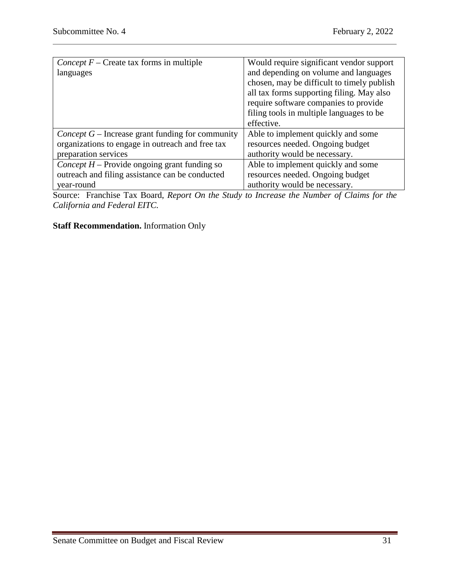| <i>Concept F</i> – Create tax forms in multiple    | Would require significant vendor support   |
|----------------------------------------------------|--------------------------------------------|
| languages                                          | and depending on volume and languages      |
|                                                    | chosen, may be difficult to timely publish |
|                                                    | all tax forms supporting filing. May also  |
|                                                    | require software companies to provide      |
|                                                    | filing tools in multiple languages to be   |
|                                                    | effective.                                 |
| Concept $G$ – Increase grant funding for community | Able to implement quickly and some         |
| organizations to engage in outreach and free tax   | resources needed. Ongoing budget           |
| preparation services                               | authority would be necessary.              |
| Concept $H$ – Provide ongoing grant funding so     | Able to implement quickly and some         |
| outreach and filing assistance can be conducted    | resources needed. Ongoing budget           |
| year-round                                         | authority would be necessary.              |

Source: Franchise Tax Board, *Report On the Study to Increase the Number of Claims for the California and Federal EITC.*

# **Staff Recommendation.** Information Only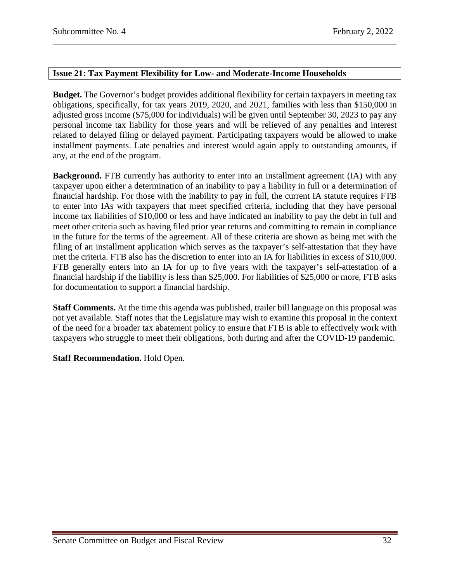## <span id="page-31-0"></span>**Issue 21: Tax Payment Flexibility for Low- and Moderate-Income Households**

**Budget.** The Governor's budget provides additional flexibility for certain taxpayers in meeting tax obligations, specifically, for tax years 2019, 2020, and 2021, families with less than \$150,000 in adjusted gross income (\$75,000 for individuals) will be given until September 30, 2023 to pay any personal income tax liability for those years and will be relieved of any penalties and interest related to delayed filing or delayed payment. Participating taxpayers would be allowed to make installment payments. Late penalties and interest would again apply to outstanding amounts, if any, at the end of the program.

**Background.** FTB currently has authority to enter into an installment agreement (IA) with any taxpayer upon either a determination of an inability to pay a liability in full or a determination of financial hardship. For those with the inability to pay in full, the current IA statute requires FTB to enter into IAs with taxpayers that meet specified criteria, including that they have personal income tax liabilities of \$10,000 or less and have indicated an inability to pay the debt in full and meet other criteria such as having filed prior year returns and committing to remain in compliance in the future for the terms of the agreement. All of these criteria are shown as being met with the filing of an installment application which serves as the taxpayer's self-attestation that they have met the criteria. FTB also has the discretion to enter into an IA for liabilities in excess of \$10,000. FTB generally enters into an IA for up to five years with the taxpayer's self-attestation of a financial hardship if the liability is less than \$25,000. For liabilities of \$25,000 or more, FTB asks for documentation to support a financial hardship.

**Staff Comments.** At the time this agenda was published, trailer bill language on this proposal was not yet available. Staff notes that the Legislature may wish to examine this proposal in the context of the need for a broader tax abatement policy to ensure that FTB is able to effectively work with taxpayers who struggle to meet their obligations, both during and after the COVID-19 pandemic.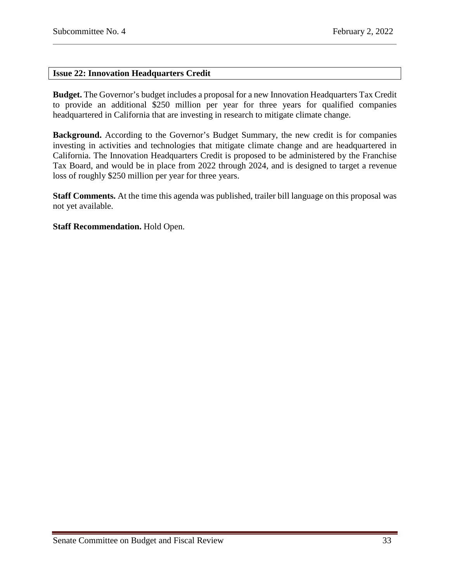## <span id="page-32-0"></span>**Issue 22: Innovation Headquarters Credit**

**Budget.** The Governor's budget includes a proposal for a new Innovation Headquarters Tax Credit to provide an additional \$250 million per year for three years for qualified companies headquartered in California that are investing in research to mitigate climate change.

**Background.** According to the Governor's Budget Summary, the new credit is for companies investing in activities and technologies that mitigate climate change and are headquartered in California. The Innovation Headquarters Credit is proposed to be administered by the Franchise Tax Board, and would be in place from 2022 through 2024, and is designed to target a revenue loss of roughly \$250 million per year for three years.

**Staff Comments.** At the time this agenda was published, trailer bill language on this proposal was not yet available.